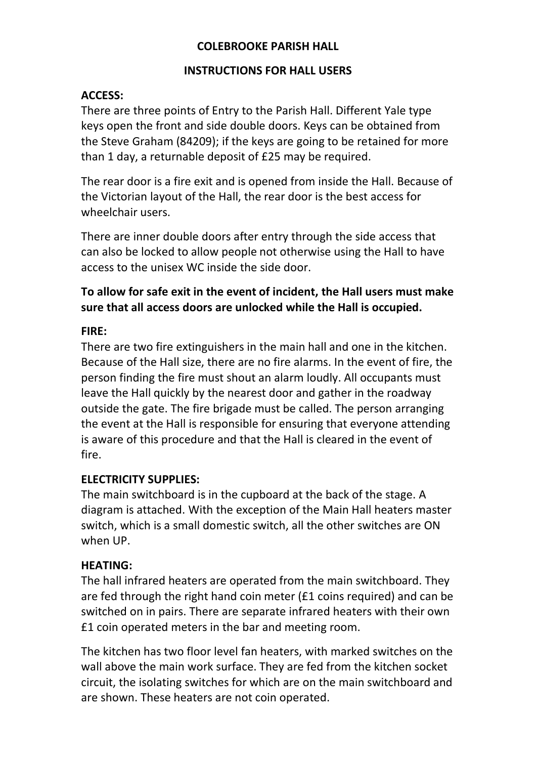#### **COLEBROOKE PARISH HALL**

#### **INSTRUCTIONS FOR HALL USERS**

### **ACCESS:**

There are three points of Entry to the Parish Hall. Different Yale type keys open the front and side double doors. Keys can be obtained from the Steve Graham (84209); if the keys are going to be retained for more than 1 day, a returnable deposit of £25 may be required.

The rear door is a fire exit and is opened from inside the Hall. Because of the Victorian layout of the Hall, the rear door is the best access for wheelchair users.

There are inner double doors after entry through the side access that can also be locked to allow people not otherwise using the Hall to have access to the unisex WC inside the side door.

### **To allow for safe exit in the event of incident, the Hall users must make sure that all access doors are unlocked while the Hall is occupied.**

### **FIRE:**

There are two fire extinguishers in the main hall and one in the kitchen. Because of the Hall size, there are no fire alarms. In the event of fire, the person finding the fire must shout an alarm loudly. All occupants must leave the Hall quickly by the nearest door and gather in the roadway outside the gate. The fire brigade must be called. The person arranging the event at the Hall is responsible for ensuring that everyone attending is aware of this procedure and that the Hall is cleared in the event of fire.

### **ELECTRICITY SUPPLIES:**

The main switchboard is in the cupboard at the back of the stage. A diagram is attached. With the exception of the Main Hall heaters master switch, which is a small domestic switch, all the other switches are ON when UP.

### **HEATING:**

The hall infrared heaters are operated from the main switchboard. They are fed through the right hand coin meter (£1 coins required) and can be switched on in pairs. There are separate infrared heaters with their own £1 coin operated meters in the bar and meeting room.

The kitchen has two floor level fan heaters, with marked switches on the wall above the main work surface. They are fed from the kitchen socket circuit, the isolating switches for which are on the main switchboard and are shown. These heaters are not coin operated.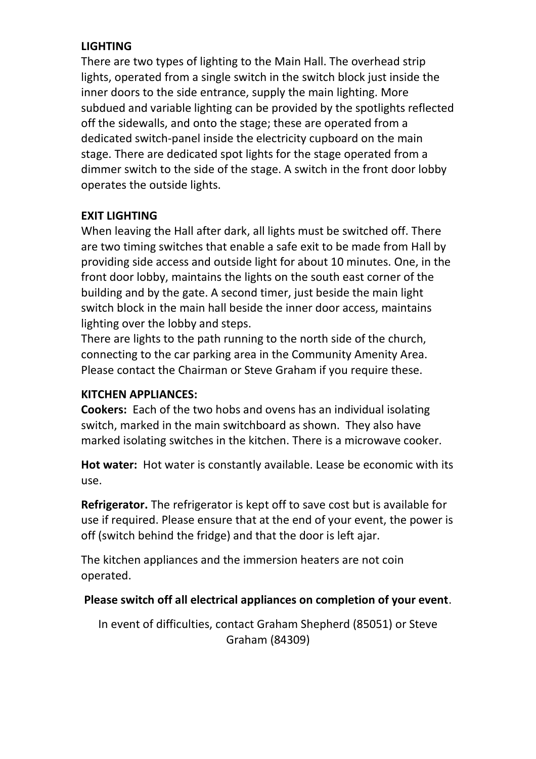### **LIGHTING**

There are two types of lighting to the Main Hall. The overhead strip lights, operated from a single switch in the switch block just inside the inner doors to the side entrance, supply the main lighting. More subdued and variable lighting can be provided by the spotlights reflected off the sidewalls, and onto the stage; these are operated from a dedicated switch-panel inside the electricity cupboard on the main stage. There are dedicated spot lights for the stage operated from a dimmer switch to the side of the stage. A switch in the front door lobby operates the outside lights.

## **EXIT LIGHTING**

When leaving the Hall after dark, all lights must be switched off. There are two timing switches that enable a safe exit to be made from Hall by providing side access and outside light for about 10 minutes. One, in the front door lobby, maintains the lights on the south east corner of the building and by the gate. A second timer, just beside the main light switch block in the main hall beside the inner door access, maintains lighting over the lobby and steps.

There are lights to the path running to the north side of the church, connecting to the car parking area in the Community Amenity Area. Please contact the Chairman or Steve Graham if you require these.

### **KITCHEN APPLIANCES:**

**Cookers:** Each of the two hobs and ovens has an individual isolating switch, marked in the main switchboard as shown. They also have marked isolating switches in the kitchen. There is a microwave cooker.

**Hot water:** Hot water is constantly available. Lease be economic with its use.

**Refrigerator.** The refrigerator is kept off to save cost but is available for use if required. Please ensure that at the end of your event, the power is off (switch behind the fridge) and that the door is left ajar.

The kitchen appliances and the immersion heaters are not coin operated.

# **Please switch off all electrical appliances on completion of your event**.

In event of difficulties, contact Graham Shepherd (85051) or Steve Graham (84309)